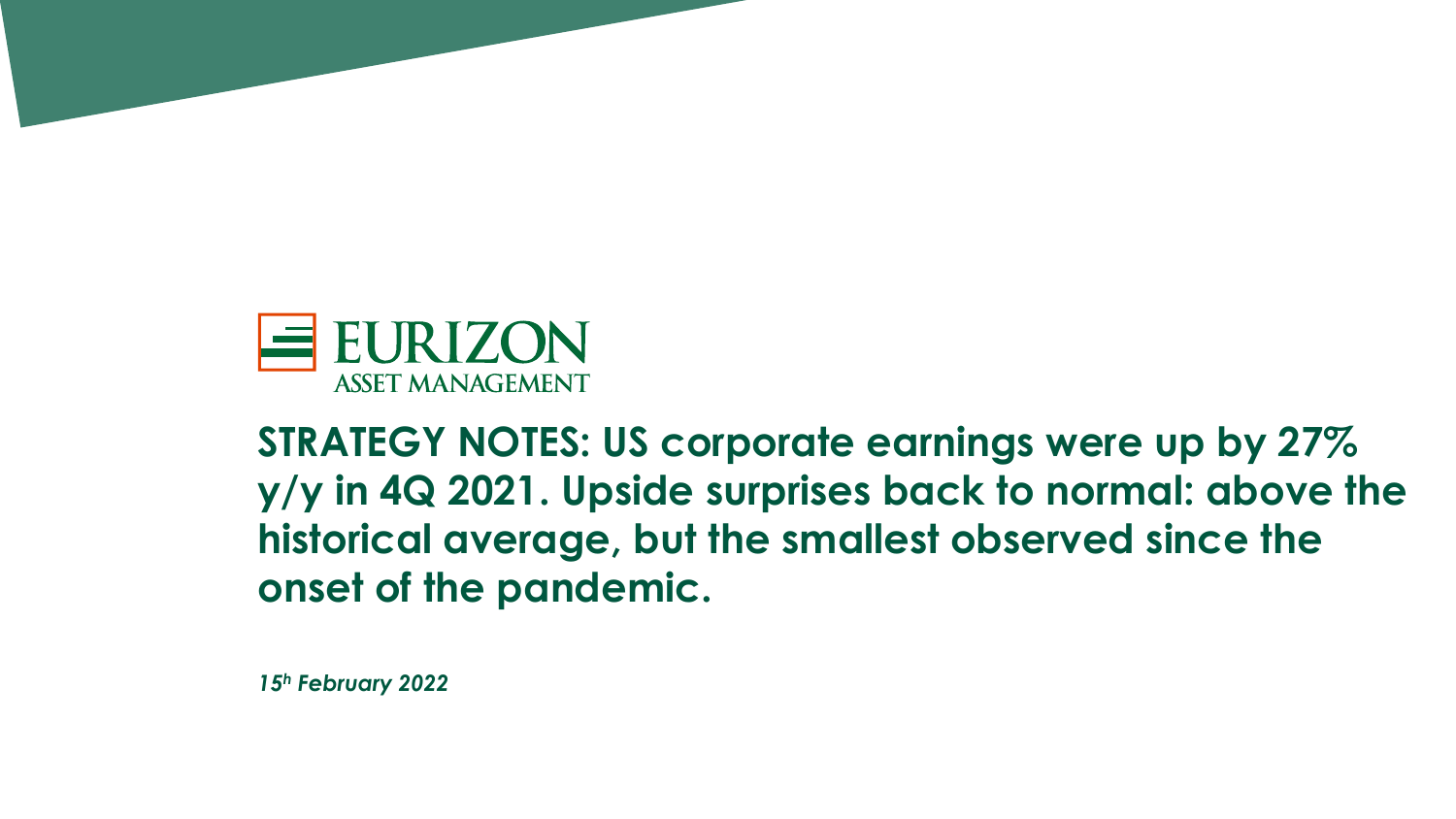

**STRATEGY NOTES: US corporate earnings were up by 27% y/y in 4Q 2021. Upside surprises back to normal: above the historical average, but the smallest observed since the onset of the pandemic.**

*15<sup>h</sup> February 2022*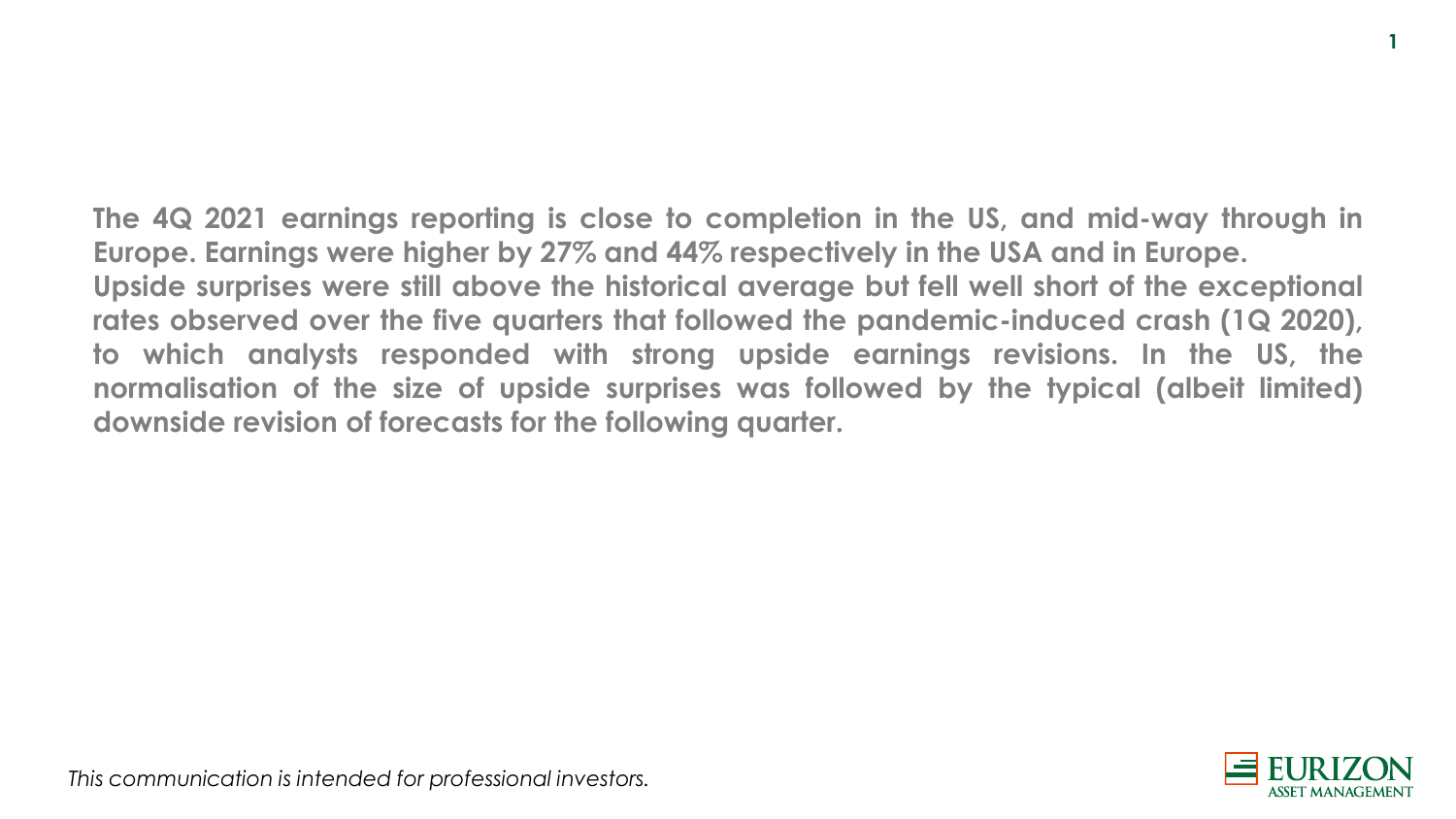**The 4Q 2021 earnings reporting is close to completion in the US, and mid-way through in Europe. Earnings were higher by 27% and 44% respectively in the USA and in Europe. Upside surprises were still above the historical average but fell well short of the exceptional rates observed over the five quarters that followed the pandemic-induced crash (1Q 2020), to which analysts responded with strong upside earnings revisions. In the US, the normalisation of the size of upside surprises was followed by the typical (albeit limited) downside revision of forecasts for the following quarter.**



**1**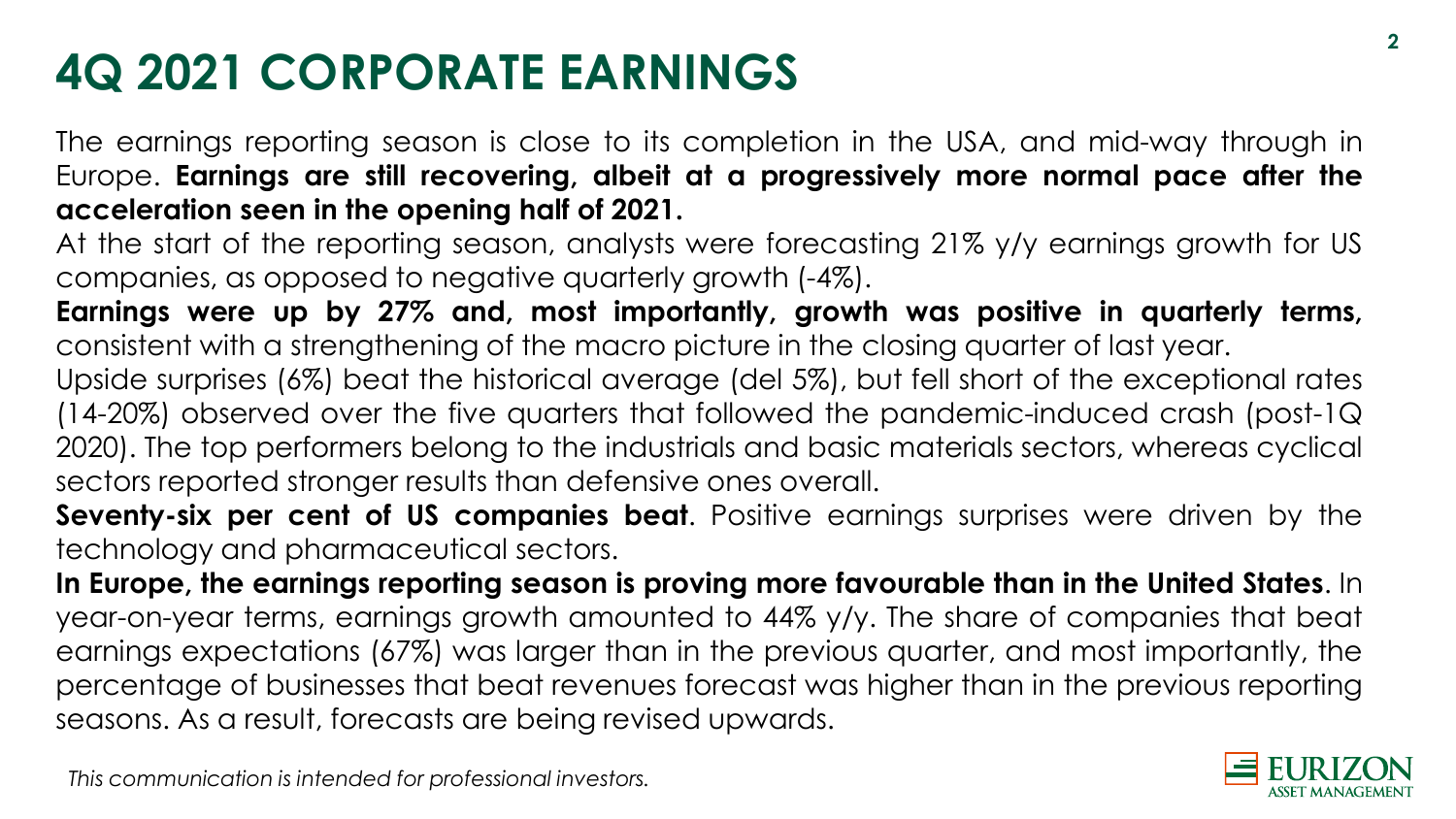# **4Q 2021 CORPORATE EARNINGS**

The earnings reporting season is close to its completion in the USA, and mid-way through in Europe. **Earnings are still recovering, albeit at a progressively more normal pace after the acceleration seen in the opening half of 2021.**

At the start of the reporting season, analysts were forecasting 21% y/y earnings growth for US companies, as opposed to negative quarterly growth (-4%).

**Earnings were up by 27% and, most importantly, growth was positive in quarterly terms,** consistent with a strengthening of the macro picture in the closing quarter of last year.

Upside surprises (6%) beat the historical average (del 5%), but fell short of the exceptional rates (14-20%) observed over the five quarters that followed the pandemic-induced crash (post-1Q 2020). The top performers belong to the industrials and basic materials sectors, whereas cyclical sectors reported stronger results than defensive ones overall.

**Seventy-six per cent of US companies beat**. Positive earnings surprises were driven by the technology and pharmaceutical sectors.

**In Europe, the earnings reporting season is proving more favourable than in the United States**. In year-on-year terms, earnings growth amounted to 44% y/y. The share of companies that beat earnings expectations (67%) was larger than in the previous quarter, and most importantly, the percentage of businesses that beat revenues forecast was higher than in the previous reporting seasons. As a result, forecasts are being revised upwards.

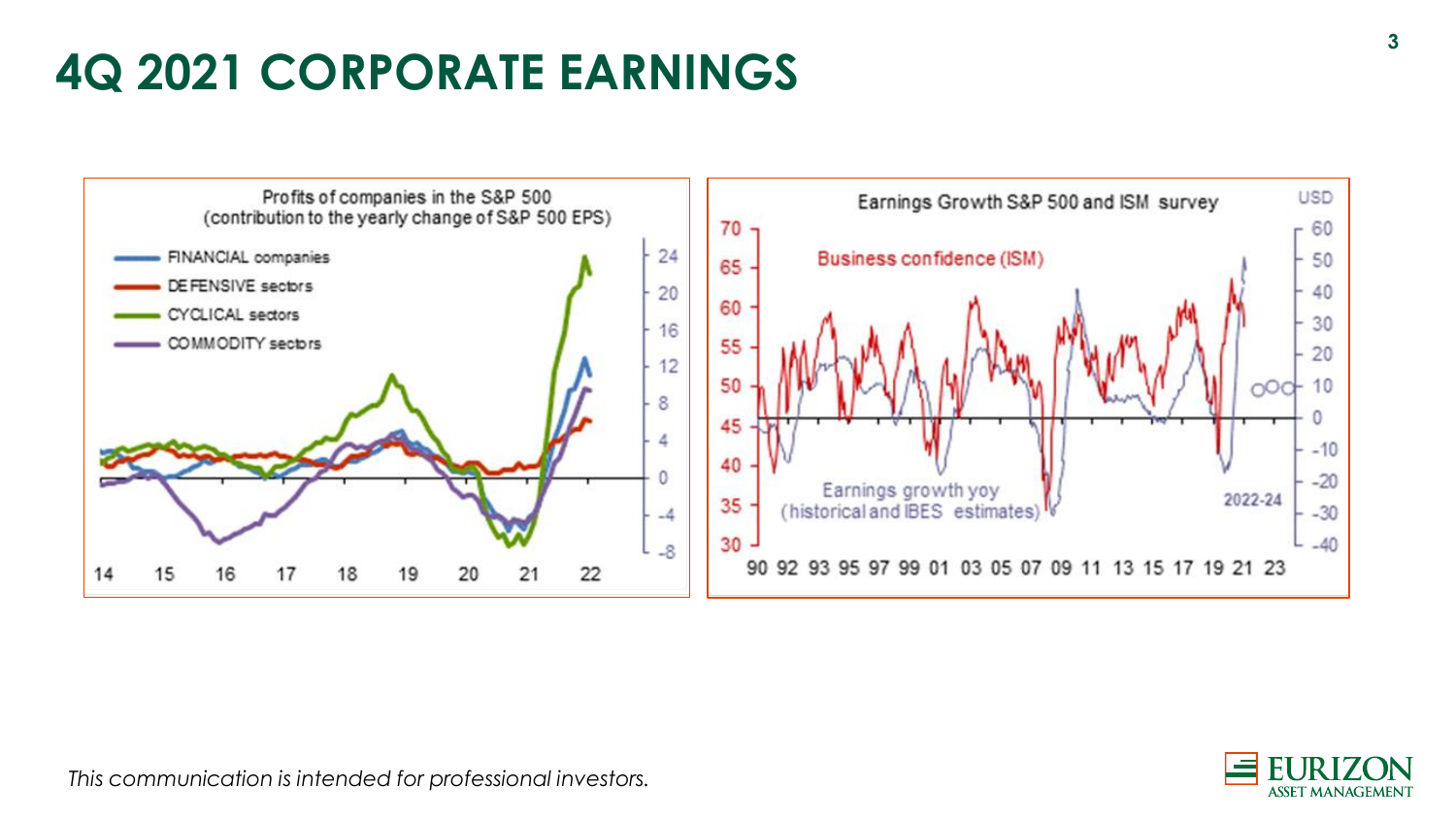#### **4Q 2021 CORPORATE EARNINGS**

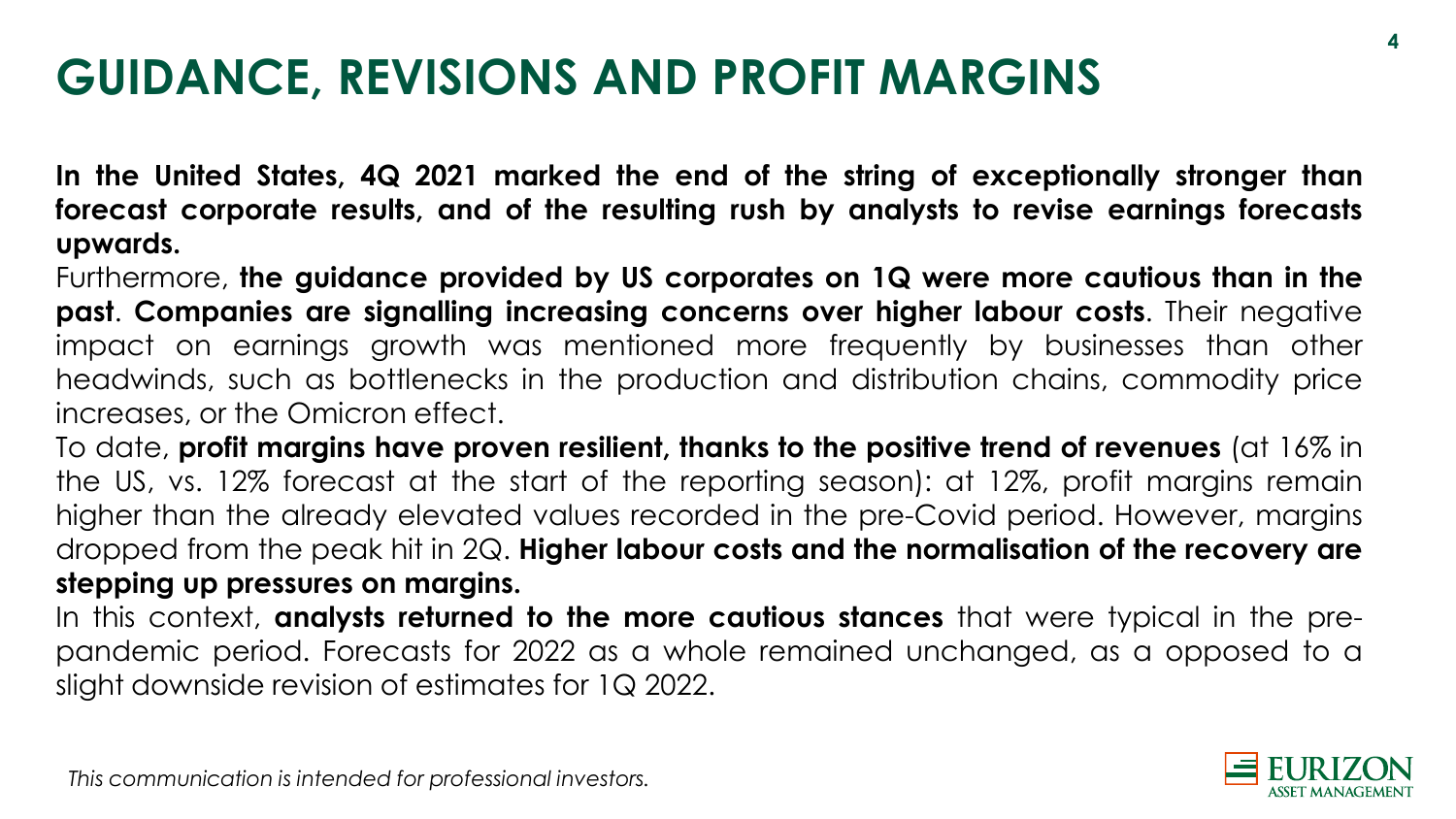#### **GUIDANCE, REVISIONS AND PROFIT MARGINS**

**In the United States, 4Q 2021 marked the end of the string of exceptionally stronger than forecast corporate results, and of the resulting rush by analysts to revise earnings forecasts upwards.**

Furthermore, **the guidance provided by US corporates on 1Q were more cautious than in the past**. **Companies are signalling increasing concerns over higher labour costs**. Their negative impact on earnings growth was mentioned more frequently by businesses than other headwinds, such as bottlenecks in the production and distribution chains, commodity price increases, or the Omicron effect.

To date, **profit margins have proven resilient, thanks to the positive trend of revenues** (at 16% in the US, vs. 12% forecast at the start of the reporting season): at 12%, profit margins remain higher than the already elevated values recorded in the pre-Covid period. However, margins dropped from the peak hit in 2Q. **Higher labour costs and the normalisation of the recovery are stepping up pressures on margins.**

In this context, **analysts returned to the more cautious stances** that were typical in the prepandemic period. Forecasts for 2022 as a whole remained unchanged, as a opposed to a slight downside revision of estimates for 1Q 2022.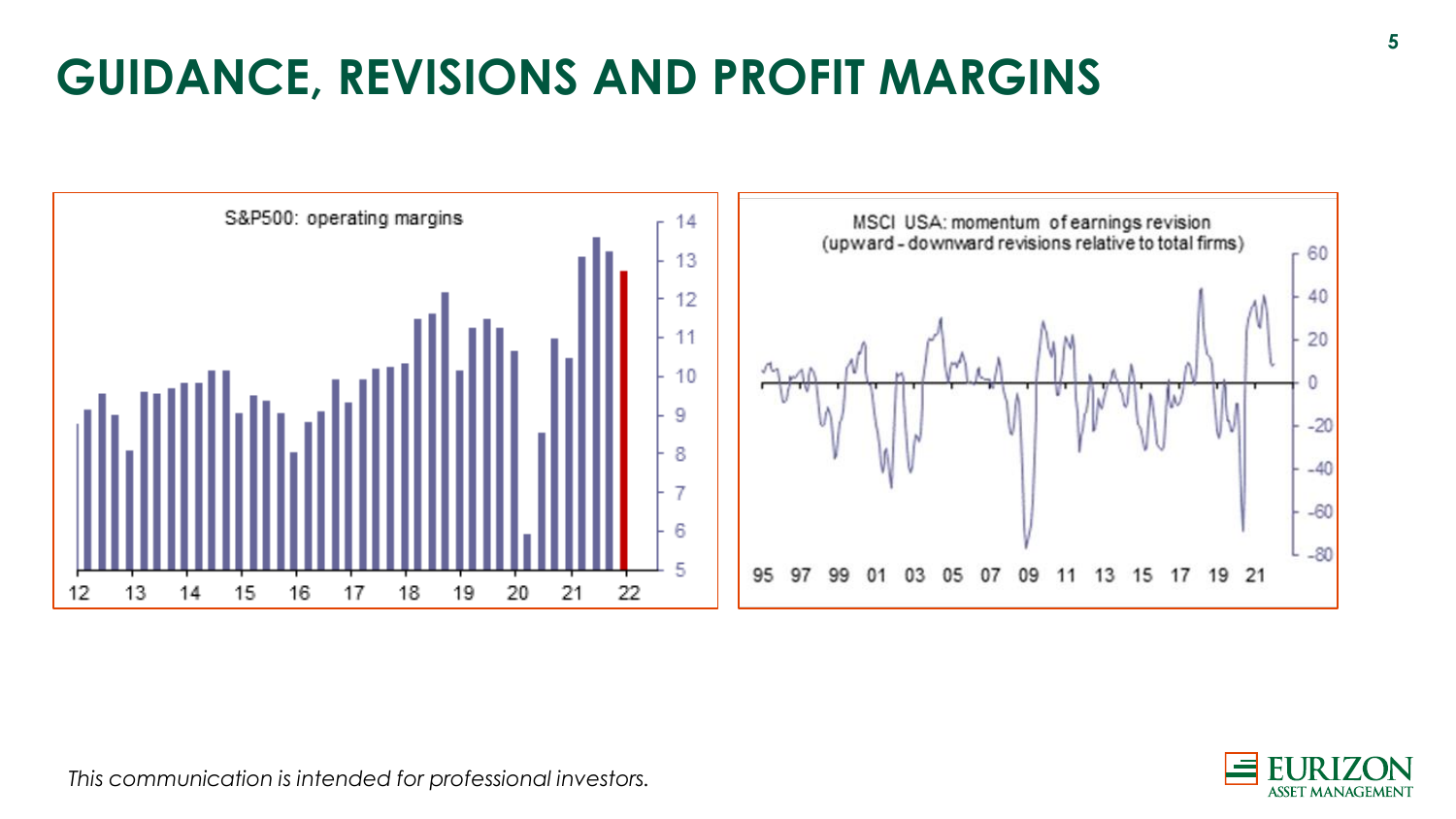# **GUIDANCE, REVISIONS AND PROFIT MARGINS**



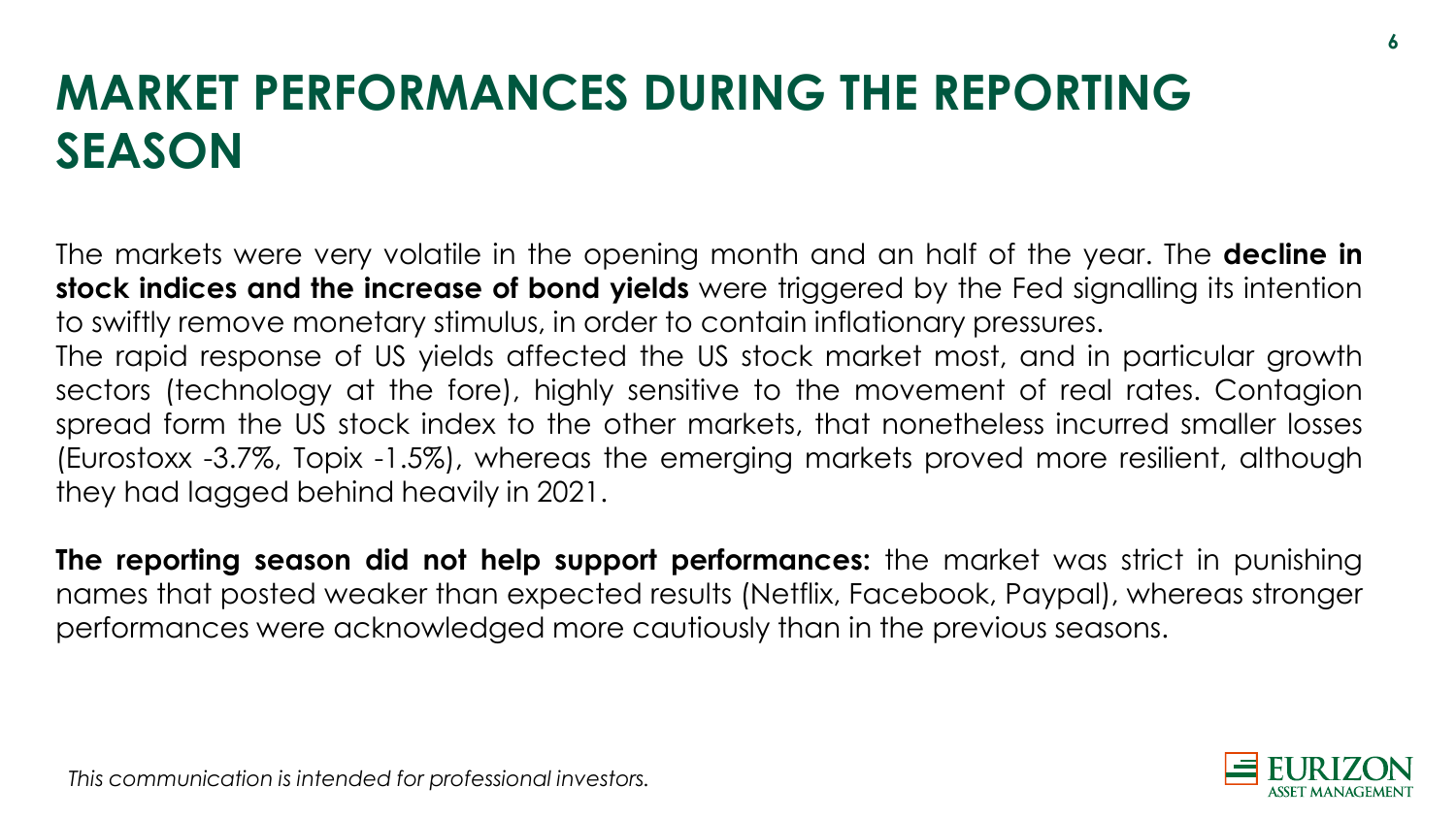# **MARKET PERFORMANCES DURING THE REPORTING SEASON**

The markets were very volatile in the opening month and an half of the year. The **decline in stock indices and the increase of bond yields** were triggered by the Fed signalling its intention to swiftly remove monetary stimulus, in order to contain inflationary pressures.

The rapid response of US yields affected the US stock market most, and in particular growth sectors (technology at the fore), highly sensitive to the movement of real rates. Contagion spread form the US stock index to the other markets, that nonetheless incurred smaller losses (Eurostoxx -3.7%, Topix -1.5%), whereas the emerging markets proved more resilient, although they had lagged behind heavily in 2021.

**The reporting season did not help support performances:** the market was strict in punishing names that posted weaker than expected results (Netflix, Facebook, Paypal), whereas stronger performances were acknowledged more cautiously than in the previous seasons.

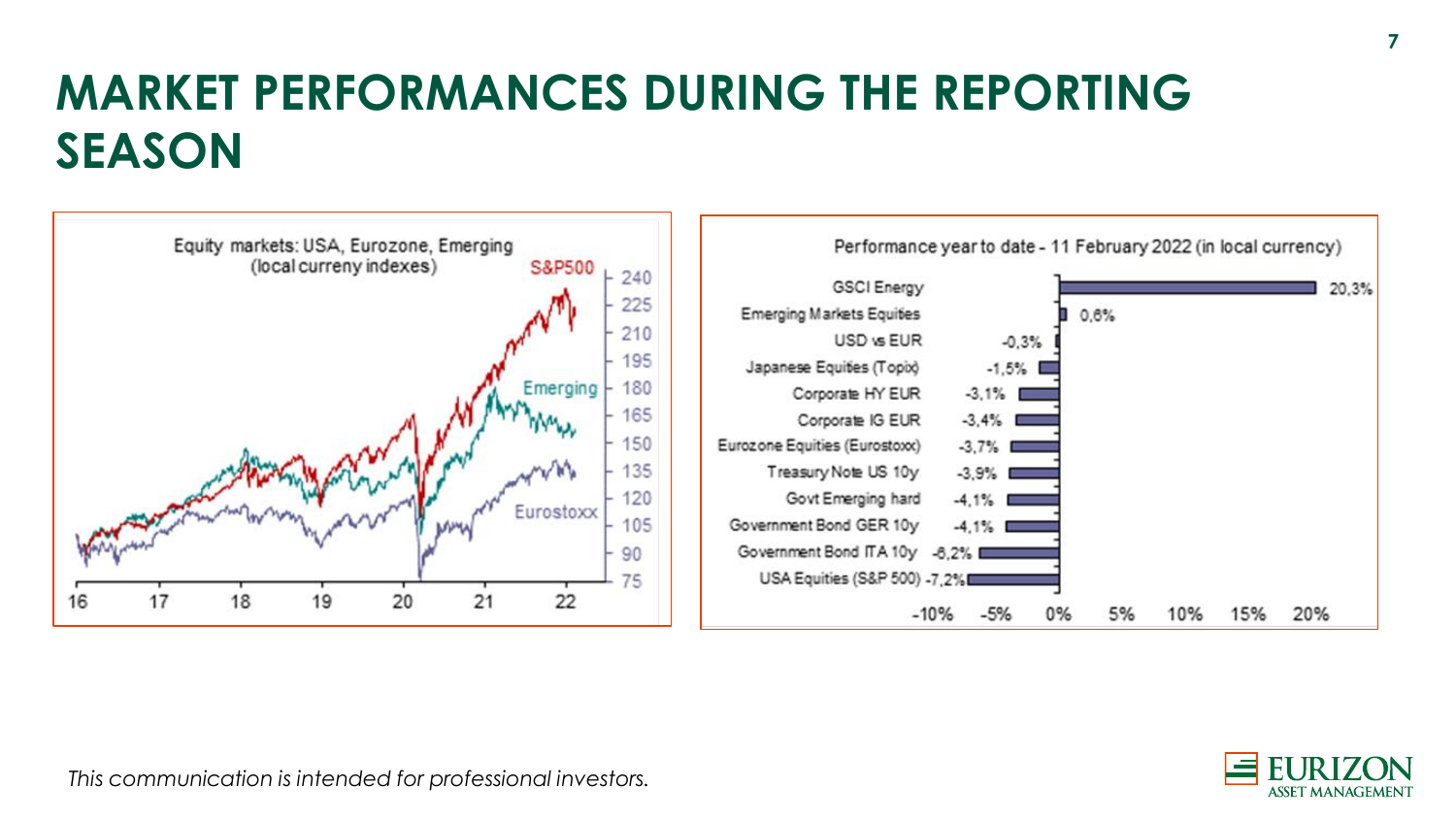## **MARKET PERFORMANCES DURING THE REPORTING SEASON**



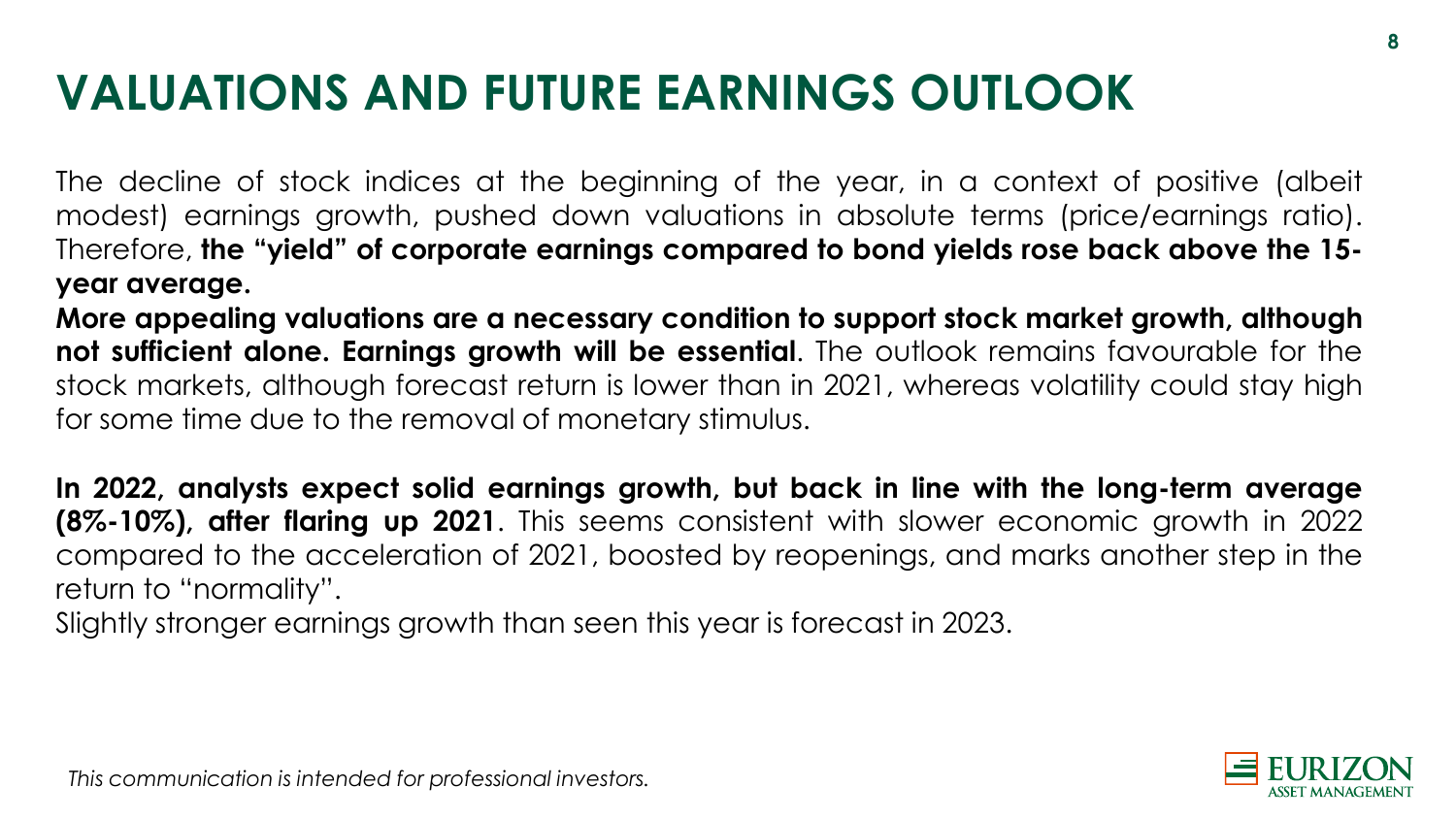# **VALUATIONS AND FUTURE EARNINGS OUTLOOK**

The decline of stock indices at the beginning of the year, in a context of positive (albeit modest) earnings growth, pushed down valuations in absolute terms (price/earnings ratio). Therefore, **the "yield" of corporate earnings compared to bond yields rose back above the 15 year average.**

**More appealing valuations are a necessary condition to support stock market growth, although not sufficient alone. Earnings growth will be essential**. The outlook remains favourable for the stock markets, although forecast return is lower than in 2021, whereas volatility could stay high for some time due to the removal of monetary stimulus.

**In 2022, analysts expect solid earnings growth, but back in line with the long-term average (8%-10%), after flaring up 2021**. This seems consistent with slower economic growth in 2022 compared to the acceleration of 2021, boosted by reopenings, and marks another step in the return to "normality".

Slightly stronger earnings growth than seen this year is forecast in 2023.

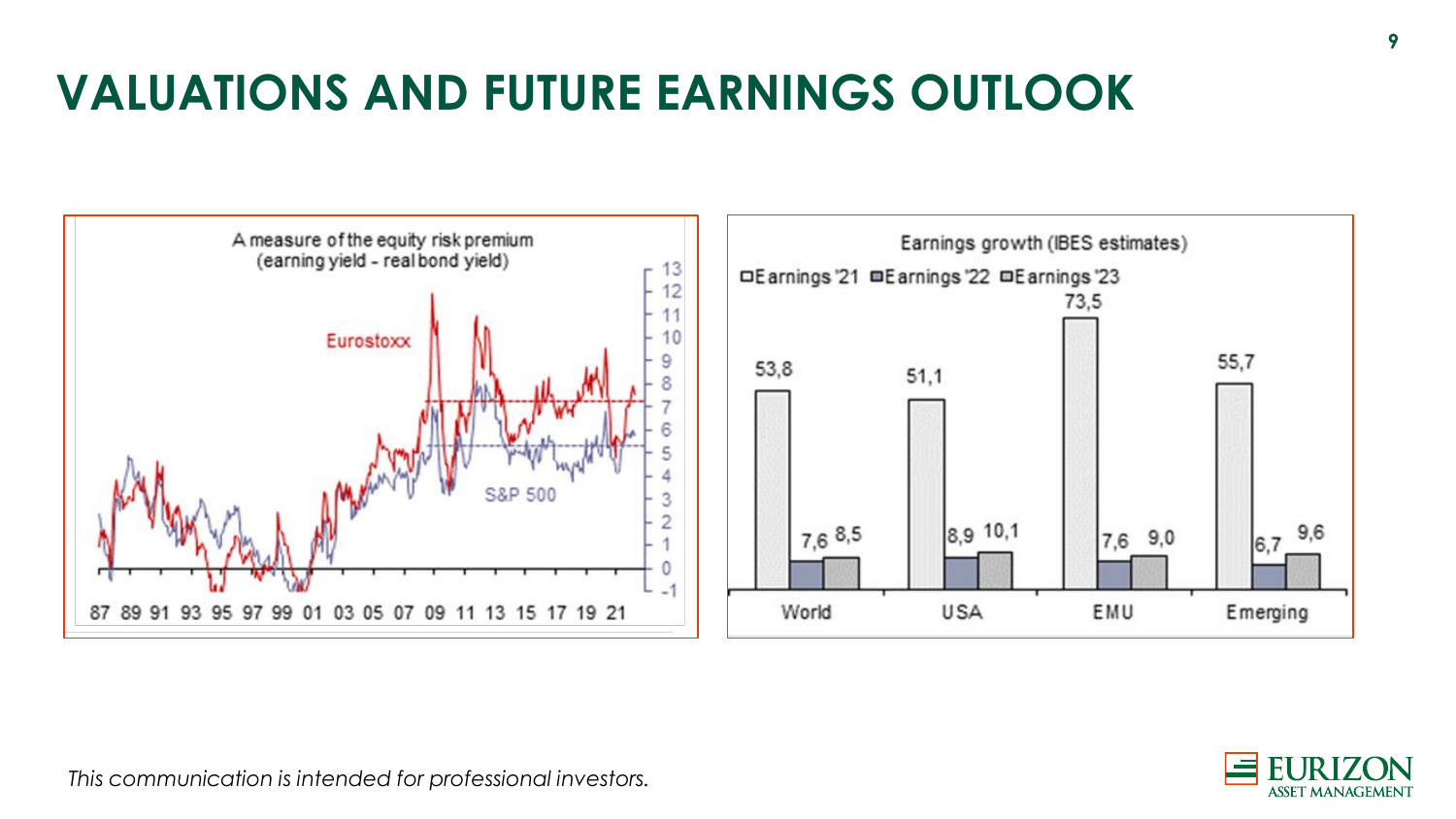# **VALUATIONS AND FUTURE EARNINGS OUTLOOK**